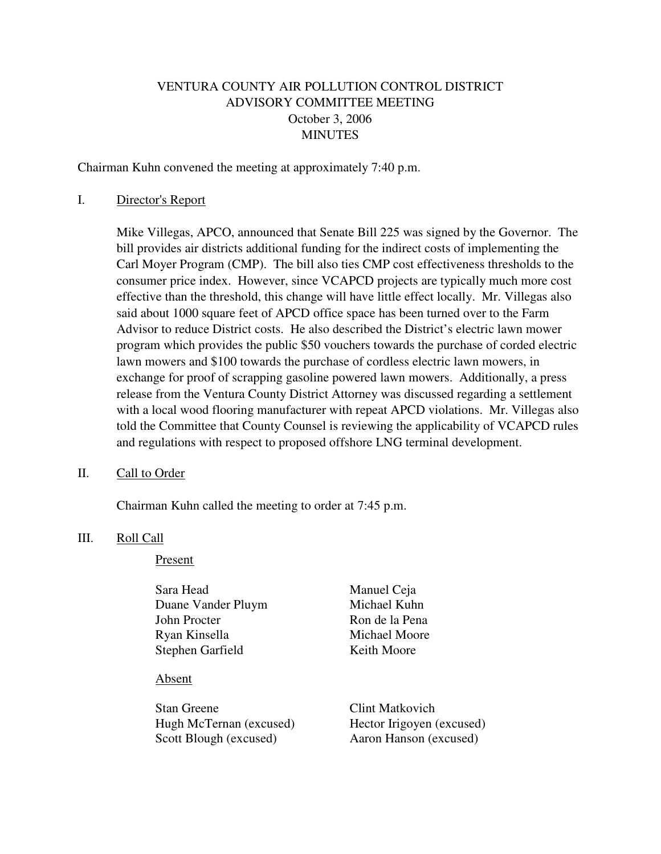# VENTURA COUNTY AIR POLLUTION CONTROL DISTRICT ADVISORY COMMITTEE MEETING October 3, 2006 MINUTES

Chairman Kuhn convened the meeting at approximately 7:40 p.m.

### I. Director's Report

 Mike Villegas, APCO, announced that Senate Bill 225 was signed by the Governor. The bill provides air districts additional funding for the indirect costs of implementing the Carl Moyer Program (CMP). The bill also ties CMP cost effectiveness thresholds to the consumer price index. However, since VCAPCD projects are typically much more cost effective than the threshold, this change will have little effect locally. Mr. Villegas also said about 1000 square feet of APCD office space has been turned over to the Farm Advisor to reduce District costs. He also described the District's electric lawn mower program which provides the public \$50 vouchers towards the purchase of corded electric lawn mowers and \$100 towards the purchase of cordless electric lawn mowers, in exchange for proof of scrapping gasoline powered lawn mowers. Additionally, a press release from the Ventura County District Attorney was discussed regarding a settlement with a local wood flooring manufacturer with repeat APCD violations. Mr. Villegas also told the Committee that County Counsel is reviewing the applicability of VCAPCD rules and regulations with respect to proposed offshore LNG terminal development.

#### II. Call to Order

Chairman Kuhn called the meeting to order at 7:45 p.m.

#### III. Roll Call

#### Present

| Sara Head          | Manuel Ceja    |
|--------------------|----------------|
| Duane Vander Pluym | Michael Kuhn   |
| John Procter       | Ron de la Pena |
| Ryan Kinsella      | Michael Moore  |
| Stephen Garfield   | Keith Moore    |
|                    |                |

#### Absent

Stan Greene Clint Matkovich Hugh McTernan (excused) Hector Irigoyen (excused) Scott Blough (excused) Aaron Hanson (excused)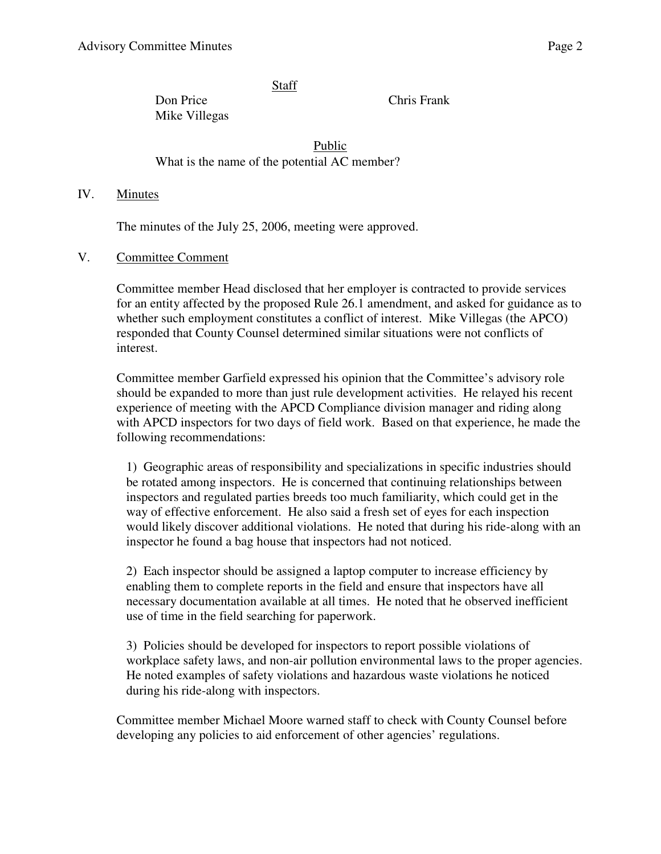Staff

Don Price Chris Frank Mike Villegas

Public What is the name of the potential AC member?

### IV. Minutes

The minutes of the July 25, 2006, meeting were approved.

### V. Committee Comment

Committee member Head disclosed that her employer is contracted to provide services for an entity affected by the proposed Rule 26.1 amendment, and asked for guidance as to whether such employment constitutes a conflict of interest. Mike Villegas (the APCO) responded that County Counsel determined similar situations were not conflicts of interest.

Committee member Garfield expressed his opinion that the Committee's advisory role should be expanded to more than just rule development activities. He relayed his recent experience of meeting with the APCD Compliance division manager and riding along with APCD inspectors for two days of field work. Based on that experience, he made the following recommendations:

1) Geographic areas of responsibility and specializations in specific industries should be rotated among inspectors. He is concerned that continuing relationships between inspectors and regulated parties breeds too much familiarity, which could get in the way of effective enforcement. He also said a fresh set of eyes for each inspection would likely discover additional violations. He noted that during his ride-along with an inspector he found a bag house that inspectors had not noticed.

2) Each inspector should be assigned a laptop computer to increase efficiency by enabling them to complete reports in the field and ensure that inspectors have all necessary documentation available at all times. He noted that he observed inefficient use of time in the field searching for paperwork.

3) Policies should be developed for inspectors to report possible violations of workplace safety laws, and non-air pollution environmental laws to the proper agencies. He noted examples of safety violations and hazardous waste violations he noticed during his ride-along with inspectors.

Committee member Michael Moore warned staff to check with County Counsel before developing any policies to aid enforcement of other agencies' regulations.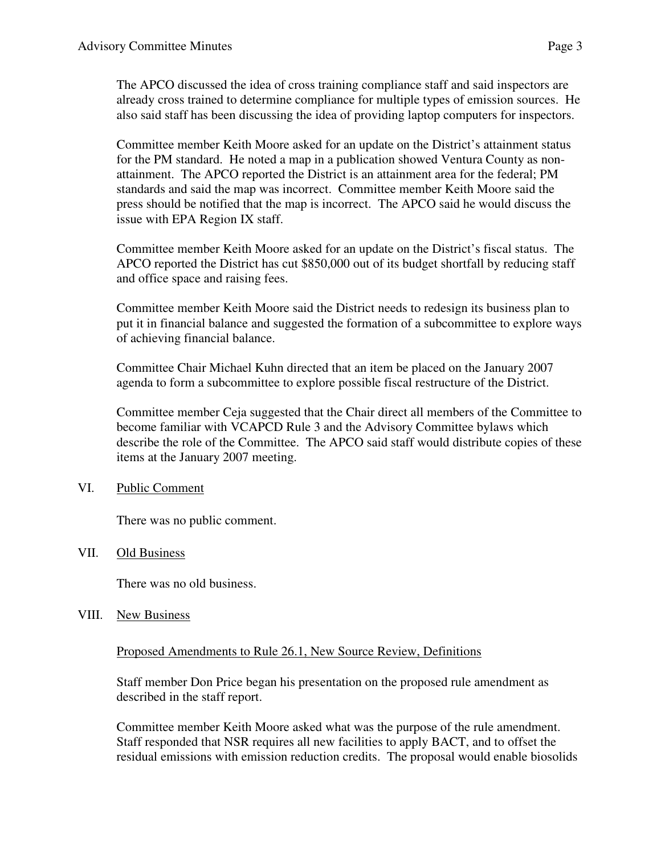The APCO discussed the idea of cross training compliance staff and said inspectors are already cross trained to determine compliance for multiple types of emission sources. He also said staff has been discussing the idea of providing laptop computers for inspectors.

Committee member Keith Moore asked for an update on the District's attainment status for the PM standard. He noted a map in a publication showed Ventura County as nonattainment. The APCO reported the District is an attainment area for the federal; PM standards and said the map was incorrect. Committee member Keith Moore said the press should be notified that the map is incorrect. The APCO said he would discuss the issue with EPA Region IX staff.

Committee member Keith Moore asked for an update on the District's fiscal status. The APCO reported the District has cut \$850,000 out of its budget shortfall by reducing staff and office space and raising fees.

Committee member Keith Moore said the District needs to redesign its business plan to put it in financial balance and suggested the formation of a subcommittee to explore ways of achieving financial balance.

Committee Chair Michael Kuhn directed that an item be placed on the January 2007 agenda to form a subcommittee to explore possible fiscal restructure of the District.

Committee member Ceja suggested that the Chair direct all members of the Committee to become familiar with VCAPCD Rule 3 and the Advisory Committee bylaws which describe the role of the Committee. The APCO said staff would distribute copies of these items at the January 2007 meeting.

## VI. Public Comment

There was no public comment.

### VII. Old Business

There was no old business.

### VIII. New Business

Proposed Amendments to Rule 26.1, New Source Review, Definitions

Staff member Don Price began his presentation on the proposed rule amendment as described in the staff report.

Committee member Keith Moore asked what was the purpose of the rule amendment. Staff responded that NSR requires all new facilities to apply BACT, and to offset the residual emissions with emission reduction credits. The proposal would enable biosolids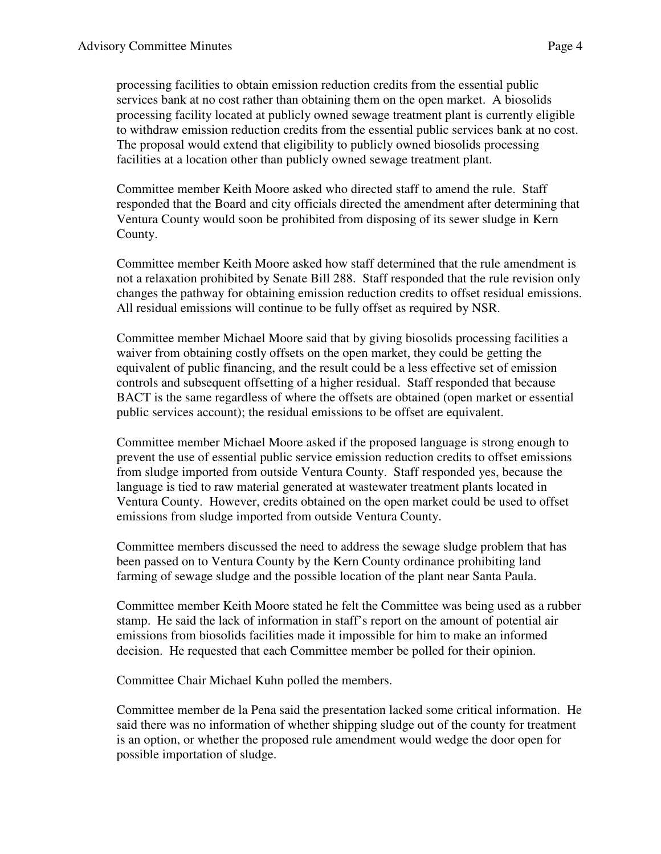processing facilities to obtain emission reduction credits from the essential public services bank at no cost rather than obtaining them on the open market. A biosolids processing facility located at publicly owned sewage treatment plant is currently eligible to withdraw emission reduction credits from the essential public services bank at no cost. The proposal would extend that eligibility to publicly owned biosolids processing facilities at a location other than publicly owned sewage treatment plant.

Committee member Keith Moore asked who directed staff to amend the rule. Staff responded that the Board and city officials directed the amendment after determining that Ventura County would soon be prohibited from disposing of its sewer sludge in Kern County.

Committee member Keith Moore asked how staff determined that the rule amendment is not a relaxation prohibited by Senate Bill 288. Staff responded that the rule revision only changes the pathway for obtaining emission reduction credits to offset residual emissions. All residual emissions will continue to be fully offset as required by NSR.

Committee member Michael Moore said that by giving biosolids processing facilities a waiver from obtaining costly offsets on the open market, they could be getting the equivalent of public financing, and the result could be a less effective set of emission controls and subsequent offsetting of a higher residual. Staff responded that because BACT is the same regardless of where the offsets are obtained (open market or essential public services account); the residual emissions to be offset are equivalent.

Committee member Michael Moore asked if the proposed language is strong enough to prevent the use of essential public service emission reduction credits to offset emissions from sludge imported from outside Ventura County. Staff responded yes, because the language is tied to raw material generated at wastewater treatment plants located in Ventura County. However, credits obtained on the open market could be used to offset emissions from sludge imported from outside Ventura County.

Committee members discussed the need to address the sewage sludge problem that has been passed on to Ventura County by the Kern County ordinance prohibiting land farming of sewage sludge and the possible location of the plant near Santa Paula.

Committee member Keith Moore stated he felt the Committee was being used as a rubber stamp. He said the lack of information in staff's report on the amount of potential air emissions from biosolids facilities made it impossible for him to make an informed decision. He requested that each Committee member be polled for their opinion.

Committee Chair Michael Kuhn polled the members.

Committee member de la Pena said the presentation lacked some critical information. He said there was no information of whether shipping sludge out of the county for treatment is an option, or whether the proposed rule amendment would wedge the door open for possible importation of sludge.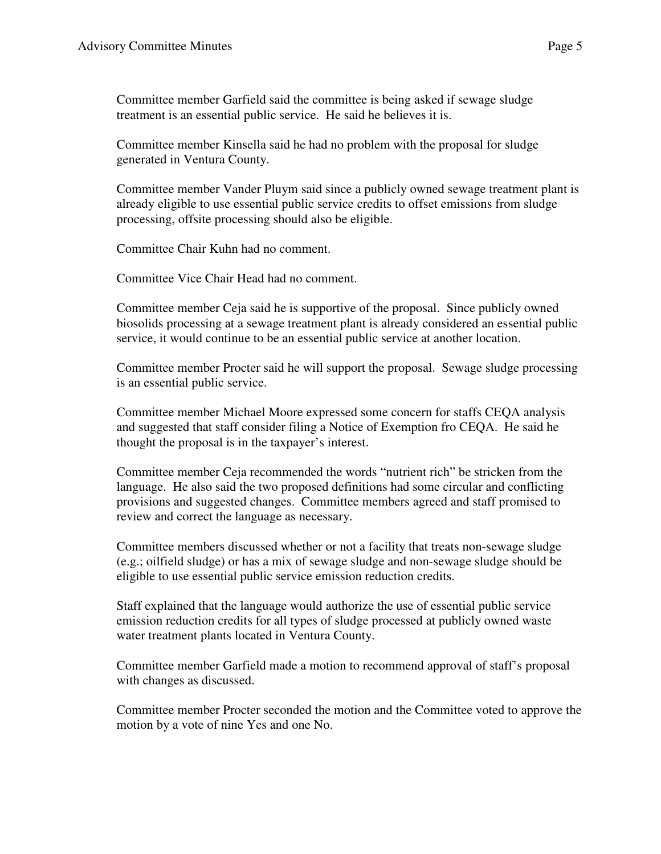Committee member Garfield said the committee is being asked if sewage sludge treatment is an essential public service. He said he believes it is.

Committee member Kinsella said he had no problem with the proposal for sludge generated in Ventura County.

Committee member Vander Pluym said since a publicly owned sewage treatment plant is already eligible to use essential public service credits to offset emissions from sludge processing, offsite processing should also be eligible.

Committee Chair Kuhn had no comment.

Committee Vice Chair Head had no comment.

Committee member Ceja said he is supportive of the proposal. Since publicly owned biosolids processing at a sewage treatment plant is already considered an essential public service, it would continue to be an essential public service at another location.

Committee member Procter said he will support the proposal. Sewage sludge processing is an essential public service.

Committee member Michael Moore expressed some concern for staffs CEQA analysis and suggested that staff consider filing a Notice of Exemption fro CEQA. He said he thought the proposal is in the taxpayer's interest.

Committee member Ceja recommended the words "nutrient rich" be stricken from the language. He also said the two proposed definitions had some circular and conflicting provisions and suggested changes. Committee members agreed and staff promised to review and correct the language as necessary.

Committee members discussed whether or not a facility that treats non-sewage sludge (e.g.; oilfield sludge) or has a mix of sewage sludge and non-sewage sludge should be eligible to use essential public service emission reduction credits.

Staff explained that the language would authorize the use of essential public service emission reduction credits for all types of sludge processed at publicly owned waste water treatment plants located in Ventura County.

Committee member Garfield made a motion to recommend approval of staff's proposal with changes as discussed.

Committee member Procter seconded the motion and the Committee voted to approve the motion by a vote of nine Yes and one No.